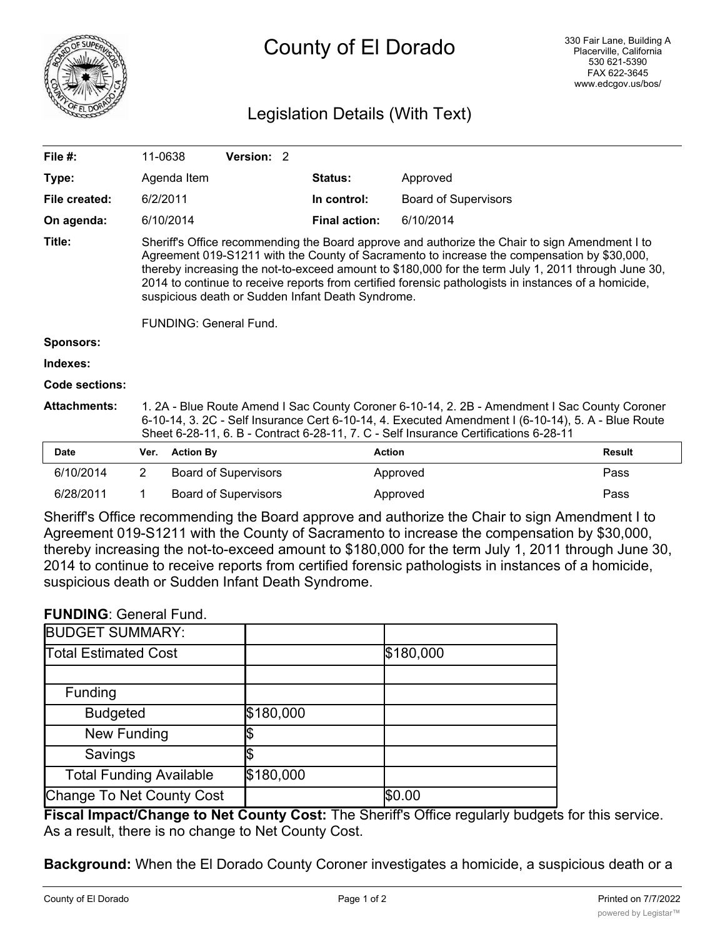

## County of El Dorado

## Legislation Details (With Text)

| File #:             | 11-0638                                                                                                                                                                                                                                                                                                                                                                                                                                                                                     |                  | Version: 2                  |  |                      |                             |               |
|---------------------|---------------------------------------------------------------------------------------------------------------------------------------------------------------------------------------------------------------------------------------------------------------------------------------------------------------------------------------------------------------------------------------------------------------------------------------------------------------------------------------------|------------------|-----------------------------|--|----------------------|-----------------------------|---------------|
| Type:               |                                                                                                                                                                                                                                                                                                                                                                                                                                                                                             | Agenda Item      |                             |  | <b>Status:</b>       | Approved                    |               |
| File created:       | 6/2/2011                                                                                                                                                                                                                                                                                                                                                                                                                                                                                    |                  |                             |  | In control:          | <b>Board of Supervisors</b> |               |
| On agenda:          |                                                                                                                                                                                                                                                                                                                                                                                                                                                                                             | 6/10/2014        |                             |  | <b>Final action:</b> | 6/10/2014                   |               |
| Title:              | Sheriff's Office recommending the Board approve and authorize the Chair to sign Amendment I to<br>Agreement 019-S1211 with the County of Sacramento to increase the compensation by \$30,000,<br>thereby increasing the not-to-exceed amount to \$180,000 for the term July 1, 2011 through June 30,<br>2014 to continue to receive reports from certified forensic pathologists in instances of a homicide,<br>suspicious death or Sudden Infant Death Syndrome.<br>FUNDING: General Fund. |                  |                             |  |                      |                             |               |
| <b>Sponsors:</b>    |                                                                                                                                                                                                                                                                                                                                                                                                                                                                                             |                  |                             |  |                      |                             |               |
| Indexes:            |                                                                                                                                                                                                                                                                                                                                                                                                                                                                                             |                  |                             |  |                      |                             |               |
| Code sections:      |                                                                                                                                                                                                                                                                                                                                                                                                                                                                                             |                  |                             |  |                      |                             |               |
| <b>Attachments:</b> | 1. 2A - Blue Route Amend I Sac County Coroner 6-10-14, 2. 2B - Amendment I Sac County Coroner<br>6-10-14, 3. 2C - Self Insurance Cert 6-10-14, 4. Executed Amendment I (6-10-14), 5. A - Blue Route<br>Sheet 6-28-11, 6. B - Contract 6-28-11, 7. C - Self Insurance Certifications 6-28-11                                                                                                                                                                                                 |                  |                             |  |                      |                             |               |
| Date                | Ver.                                                                                                                                                                                                                                                                                                                                                                                                                                                                                        | <b>Action By</b> |                             |  | <b>Action</b>        |                             | <b>Result</b> |
| 6/10/2014           | $\overline{2}$                                                                                                                                                                                                                                                                                                                                                                                                                                                                              |                  | <b>Board of Supervisors</b> |  |                      | Approved                    | Pass          |

Sheriff's Office recommending the Board approve and authorize the Chair to sign Amendment I to Agreement 019-S1211 with the County of Sacramento to increase the compensation by \$30,000, thereby increasing the not-to-exceed amount to \$180,000 for the term July 1, 2011 through June 30, 2014 to continue to receive reports from certified forensic pathologists in instances of a homicide, suspicious death or Sudden Infant Death Syndrome.

6/28/2011 1 Board of Supervisors **Approved Pass Pass** 

## **FUNDING**: General Fund.

| <b>BUDGET SUMMARY:</b>         |           |           |
|--------------------------------|-----------|-----------|
| <b>Total Estimated Cost</b>    |           | \$180,000 |
|                                |           |           |
| Funding                        |           |           |
| <b>Budgeted</b>                | \$180,000 |           |
| New Funding                    |           |           |
| Savings                        |           |           |
| <b>Total Funding Available</b> | \$180,000 |           |
| Change To Net County Cost      |           | \$0.00    |

**Fiscal Impact/Change to Net County Cost:** The Sheriff's Office regularly budgets for this service. As a result, there is no change to Net County Cost.

**Background:** When the El Dorado County Coroner investigates a homicide, a suspicious death or a